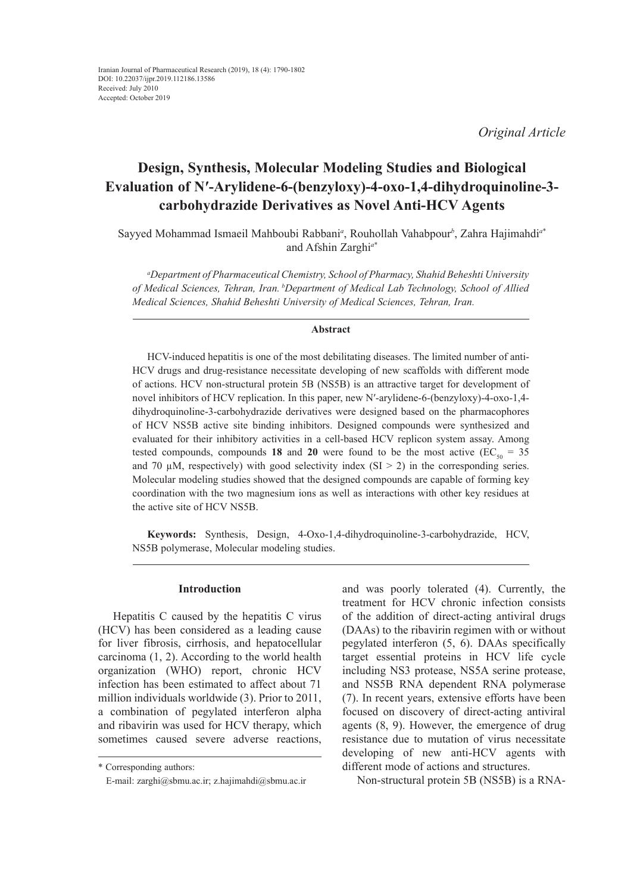*Original Article*

# **Design, Synthesis, Molecular Modeling Studies and Biological Evaluation of N′-Arylidene-6-(benzyloxy)-4-oxo-1,4-dihydroquinoline-3 carbohydrazide Derivatives as Novel Anti-HCV Agents**

Sayyed Mohammad Ismaeil Mahboubi Rabbani*<sup>a</sup>* , Rouhollah Vahabpour*<sup>b</sup>* , Zahra Hajimahdi*<sup>a</sup>*\* and Afshin Zarghi*<sup>a</sup>*\*

*a Department of Pharmaceutical Chemistry, School of Pharmacy, Shahid Beheshti University of Medical Sciences, Tehran, Iran. bDepartment of Medical Lab Technology, School of Allied Medical Sciences, Shahid Beheshti University of Medical Sciences, Tehran, Iran.*

#### **Abstract**

HCV-induced hepatitis is one of the most debilitating diseases. The limited number of anti-HCV drugs and drug-resistance necessitate developing of new scaffolds with different mode of actions. HCV non-structural protein 5B (NS5B) is an attractive target for development of novel inhibitors of HCV replication. In this paper, new N′-arylidene-6-(benzyloxy)-4-oxo-1,4 dihydroquinoline-3-carbohydrazide derivatives were designed based on the pharmacophores of HCV NS5B active site binding inhibitors. Designed compounds were synthesized and evaluated for their inhibitory activities in a cell-based HCV replicon system assay. Among tested compounds, compounds 18 and 20 were found to be the most active  $(EC_{50} = 35$ and 70  $\mu$ M, respectively) with good selectivity index (SI > 2) in the corresponding series. Molecular modeling studies showed that the designed compounds are capable of forming key coordination with the two magnesium ions as well as interactions with other key residues at the active site of HCV NS5B.

**Keywords:** Synthesis, Design, 4-Oxo-1,4-dihydroquinoline-3-carbohydrazide, HCV, NS5B polymerase, Molecular modeling studies.

#### **Introduction**

Hepatitis C caused by the hepatitis C virus (HCV) has been considered as a leading cause for liver fibrosis, cirrhosis, and hepatocellular carcinoma (1, 2). According to the world health organization (WHO) report, chronic HCV infection has been estimated to affect about 71 million individuals worldwide (3). Prior to 2011, a combination of pegylated interferon alpha and ribavirin was used for HCV therapy, which sometimes caused severe adverse reactions,

and was poorly tolerated (4). Currently, the treatment for HCV chronic infection consists of the addition of direct-acting antiviral drugs (DAAs) to the ribavirin regimen with or without pegylated interferon (5, 6). DAAs specifically target essential proteins in HCV life cycle including NS3 protease, NS5A serine protease, and NS5B RNA dependent RNA polymerase (7). In recent years, extensive efforts have been focused on discovery of direct-acting antiviral agents (8, 9). However, the emergence of drug resistance due to mutation of virus necessitate developing of new anti-HCV agents with different mode of actions and structures.

Non-structural protein 5B (NS5B) is a RNA-

<sup>\*</sup> Corresponding authors:

E-mail: zarghi@sbmu.ac.ir; z.hajimahdi@sbmu.ac.ir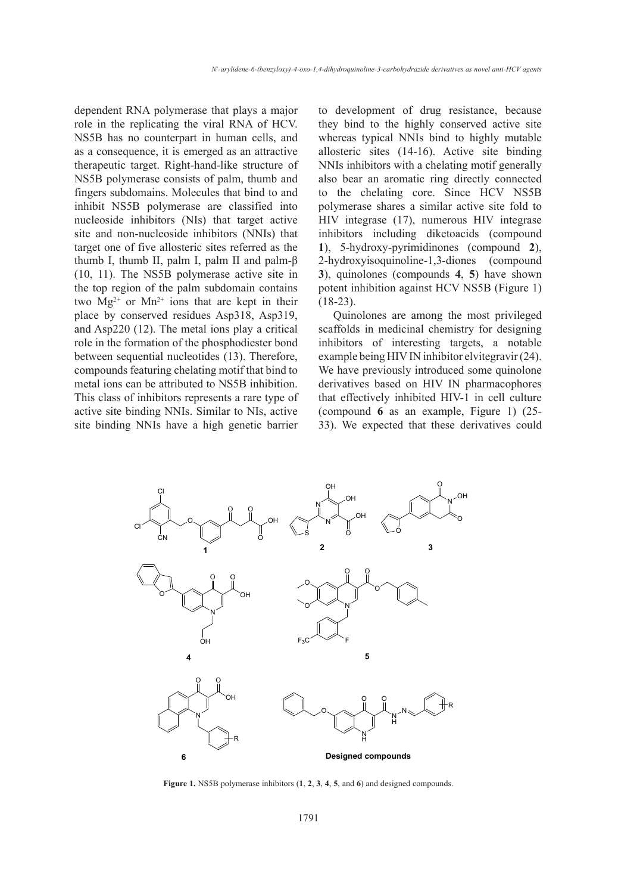dependent RNA polymerase that plays a major role in the replicating the viral RNA of HCV. NS5B has no counterpart in human cells, and as a consequence, it is emerged as an attractive therapeutic target. Right-hand-like structure of NS5B polymerase consists of palm, thumb and fingers subdomains. Molecules that bind to and inhibit NS5B polymerase are classified into nucleoside inhibitors (NIs) that target active site and non-nucleoside inhibitors (NNIs) that target one of five allosteric sites referred as the thumb I, thumb II, palm I, palm II and palm-β (10, 11). The NS5B polymerase active site in the top region of the palm subdomain contains two  $Mg^{2+}$  or  $Mn^{2+}$  ions that are kept in their place by conserved residues Asp318, Asp319, and Asp220 (12). The metal ions play a critical role in the formation of the phosphodiester bond between sequential nucleotides (13). Therefore, compounds featuring chelating motif that bind to metal ions can be attributed to NS5B inhibition. This class of inhibitors represents a rare type of active site binding NNIs. Similar to NIs, active site binding NNIs have a high genetic barrier to development of drug resistance, because they bind to the highly conserved active site whereas typical NNIs bind to highly mutable allosteric sites (14-16). Active site binding NNIs inhibitors with a chelating motif generally also bear an aromatic ring directly connected to the chelating core. Since HCV NS5B polymerase shares a similar active site fold to HIV integrase (17), numerous HIV integrase inhibitors including diketoacids (compound **1**), 5-hydroxy-pyrimidinones (compound **2**), 2-hydroxyisoquinoline-1,3-diones (compound **3**), quinolones (compounds **4**, **5**) have shown potent inhibition against HCV NS5B (Figure 1)  $(18-23)$ .

Quinolones are among the most privileged scaffolds in medicinal chemistry for designing inhibitors of interesting targets, a notable example being HIV IN inhibitor elvitegravir (24). We have previously introduced some quinolone derivatives based on HIV IN pharmacophores that effectively inhibited HIV-1 in cell culture (compound **6** as an example, Figure 1) (25- 33). We expected that these derivatives could



Figure 1. NS5B polymerase inhibitors  $(1, 2, 3, 4, 5, \text{ and } 6)$  and designed compounds.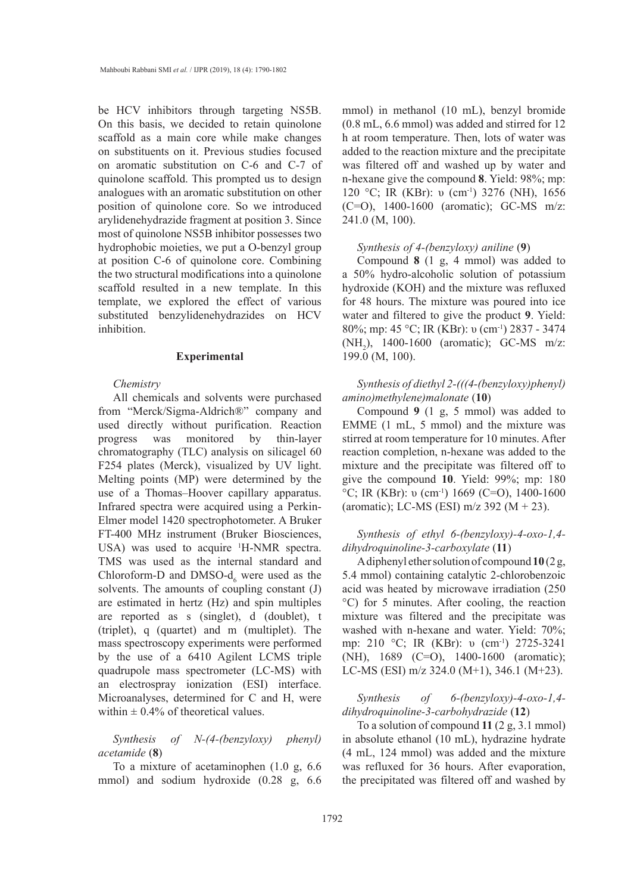be HCV inhibitors through targeting NS5B. On this basis, we decided to retain quinolone scaffold as a main core while make changes on substituents on it. Previous studies focused on aromatic substitution on C-6 and C-7 of quinolone scaffold. This prompted us to design analogues with an aromatic substitution on other position of quinolone core. So we introduced arylidenehydrazide fragment at position 3. Since most of quinolone NS5B inhibitor possesses two hydrophobic moieties, we put a O-benzyl group at position C-6 of quinolone core. Combining the two structural modifications into a quinolone scaffold resulted in a new template. In this template, we explored the effect of various substituted benzylidenehydrazides on HCV inhibition.

# **Experimental**

## *Chemistry*

All chemicals and solvents were purchased from "Merck/Sigma-Aldrich®" company and used directly without purification. Reaction progress was monitored by thin-layer chromatography (TLC) analysis on silicagel 60 F254 plates (Merck), visualized by UV light. Melting points (MP) were determined by the use of a Thomas–Hoover capillary apparatus. Infrared spectra were acquired using a Perkin-Elmer model 1420 spectrophotometer. A Bruker FT-400 MHz instrument (Bruker Biosciences, USA) was used to acquire <sup>1</sup>H-NMR spectra. TMS was used as the internal standard and Chloroform-D and DMSO- $d_6$  were used as the solvents. The amounts of coupling constant (J) are estimated in hertz (Hz) and spin multiples are reported as s (singlet), d (doublet), t (triplet), q (quartet) and m (multiplet). The mass spectroscopy experiments were performed by the use of a 6410 Agilent LCMS triple quadrupole mass spectrometer (LC-MS) with an electrospray ionization (ESI) interface. Microanalyses, determined for C and H, were within  $\pm$  0.4% of theoretical values.

*Synthesis of N-(4-(benzyloxy) phenyl) acetamide* (**8**)

To a mixture of acetaminophen (1.0 g, 6.6 mmol) and sodium hydroxide (0.28 g, 6.6 mmol) in methanol (10 mL), benzyl bromide (0.8 mL, 6.6 mmol) was added and stirred for 12 h at room temperature. Then, lots of water was added to the reaction mixture and the precipitate was filtered off and washed up by water and n-hexane give the compound **8**. Yield: 98%; mp: 120 °C; IR (KBr): υ (cm<sup>-1</sup>) 3276 (NH), 1656 (C=O), 1400-1600 (aromatic); GC-MS m/z: 241.0 (M, 100).

#### *Synthesis of 4-(benzyloxy) aniline* (**9**)

Compound **8** (1 g, 4 mmol) was added to a 50% hydro-alcoholic solution of potassium hydroxide (KOH) and the mixture was refluxed for 48 hours. The mixture was poured into ice water and filtered to give the product **9**. Yield: 80%; mp: 45 °C; IR (KBr): υ (cm-1) 2837 - 3474 (NH<sub>2</sub>), 1400-1600 (aromatic); GC-MS m/z: 199.0 (M, 100).

*Synthesis of diethyl 2-(((4-(benzyloxy)phenyl) amino)methylene)malonate* (**10**)

Compound **9** (1 g, 5 mmol) was added to EMME (1 mL, 5 mmol) and the mixture was stirred at room temperature for 10 minutes. After reaction completion, n-hexane was added to the mixture and the precipitate was filtered off to give the compound **10**. Yield: 99%; mp: 180 <sup>o</sup>C; IR (KBr): υ (cm<sup>-1</sup>) 1669 (C=O), 1400-1600 (aromatic); LC-MS (ESI) m/z 392 (M + 23).

*Synthesis of ethyl 6-(benzyloxy)-4-oxo-1,4 dihydroquinoline-3-carboxylate* (**11**)

A diphenyl ether solution of compound **10** (2 g, 5.4 mmol) containing catalytic 2-chlorobenzoic acid was heated by microwave irradiation (250 °C) for 5 minutes. After cooling, the reaction mixture was filtered and the precipitate was washed with n-hexane and water. Yield: 70%; mp: 210 °C; IR (KBr): υ (cm<sup>-1</sup>) 2725-3241 (NH), 1689 (C=O), 1400-1600 (aromatic); LC-MS (ESI) m/z 324.0 (M+1), 346.1 (M+23).

*Synthesis of 6-(benzyloxy)-4-oxo-1,4 dihydroquinoline-3-carbohydrazide* (**12**)

To a solution of compound **11** (2 g, 3.1 mmol) in absolute ethanol (10 mL), hydrazine hydrate (4 mL, 124 mmol) was added and the mixture was refluxed for 36 hours. After evaporation, the precipitated was filtered off and washed by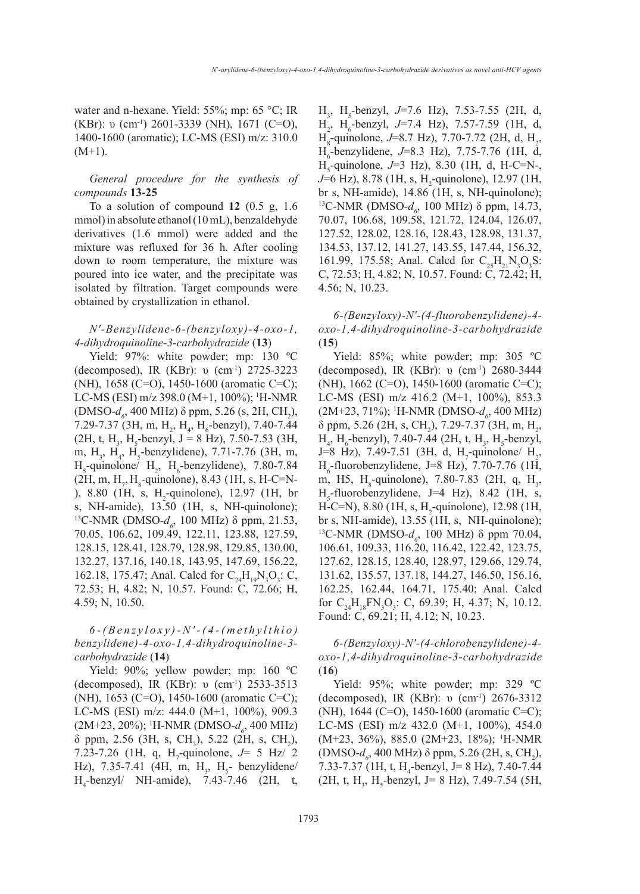water and n-hexane. Yield: 55%; mp: 65 °C; IR (KBr): υ (cm<sup>-1</sup>) 2601-3339 (NH), 1671 (C=O), 1400-1600 (aromatic); LC-MS (ESI) m/z: 310.0  $(M+1)$ .

*General procedure for the synthesis of compounds* **13-25**

To a solution of compound **12** (0.5 g, 1.6 mmol) in absolute ethanol (10 mL), benzaldehyde derivatives (1.6 mmol) were added and the mixture was refluxed for 36 h. After cooling down to room temperature, the mixture was poured into ice water, and the precipitate was isolated by filtration. Target compounds were obtained by crystallization in ethanol.

# *N′-Benzylidene-6-(benzyloxy)-4-oxo-1, 4-dihydroquinoline-3-carbohydrazide* (**13**)

Yield: 97%: white powder; mp: 130 ºC (decomposed), IR (KBr): υ (cm-1) 2725-3223 (NH), 1658 (C=O), 1450-1600 (aromatic C=C); LC-MS (ESI) m/z 398.0 (M+1, 100%); <sup>1</sup>H-NMR (DMSO-*d*<sub>6</sub>, 400 MHz) δ ppm, 5.26 (s, 2H, CH<sub>2</sub>), 7.29-7.37 (3H, m,  $H_2$ ,  $H_4$ ,  $H_6$ -benzyl), 7.40-7.44  $(2H, t, H<sub>3</sub>, H<sub>5</sub>-benzyl, J = 8 Hz), 7.50-7.53 (3H,$ m,  $H_3$ ,  $H_4$ ,  $H_5$ -benzylidene), 7.71-7.76 (3H, m,  $H<sub>5</sub>$ -quinolone/  $H<sub>2</sub>$ ,  $H<sub>6</sub>$ -benzylidene), 7.80-7.84  $(2H, m, H<sub>7</sub>, H<sub>8</sub>$ -quinolone), 8.43 (1H, s, H-C=N-), 8.80 (1H, s,  $H_2$ -quinolone), 12.97 (1H, br s, NH-amide), 13.50 (1H, s, NH-quinolone); <sup>13</sup>C-NMR (DMSO- $d_6$ , 100 MHz) δ ppm, 21.53, 70.05, 106.62, 109.49, 122.11, 123.88, 127.59, 128.15, 128.41, 128.79, 128.98, 129.85, 130.00, 132.27, 137.16, 140.18, 143.95, 147.69, 156.22, 162.18, 175.47; Anal. Calcd for  $C_{24}H_{19}N_3O_3$ : C, 72.53; H, 4.82; N, 10.57. Found: C, 72.66; H, 4.59; N, 10.50.

# *6-(Benzyloxy)-N′-(4-(methylthio) benzylidene)-4-oxo-1,4-dihydroquinoline-3 carbohydrazide* (**14**)

Yield: 90%; yellow powder; mp: 160 ºC (decomposed), IR (KBr): υ (cm-1) 2533-3513 (NH), 1653 (C=O), 1450-1600 (aromatic C=C); LC-MS (ESI) m/z: 444.0 (M+1, 100%), 909.3 (2M+23, 20%); <sup>1</sup>H-NMR (DMSO- $d<sub>6</sub>$ , 400 MHz)  $\delta$  ppm, 2.56 (3H, s, CH<sub>3</sub>), 5.22 (2H, s, CH<sub>2</sub>), 7.23-7.26 (1H, q, H<sub>7</sub>-quinolone,  $J=$  5 Hz/ 2 Hz), 7.35-7.41 (4H, m,  $H_3$ ,  $H_5$ - benzylidene/ H4 -benzyl/ NH-amide), 7.43-7.46 (2H, t,

H3 , H5 -benzyl, *J*=7.6 Hz), 7.53-7.55 (2H, d, H<sub>2</sub>, H<sub>6</sub>-benzyl, J=7.4 Hz), 7.57-7.59 (1H, d,  $H_s$ -quinolone, *J*=8.7 Hz), 7.70-7.72 (2H, d, H<sub>2</sub>, H6 -benzylidene, *J*=8.3 Hz), 7.75-7.76 (1H, d, H5 -quinolone, *J*=3 Hz), 8.30 (1H, d, H-C=N-, *J*=6 Hz), 8.78 (1H, s, H<sub>2</sub>-quinolone), 12.97 (1H, br s, NH-amide), 14.86 (1H, s, NH-quinolone); <sup>13</sup>C-NMR (DMSO- $d_6$ , 100 MHz) δ ppm, 14.73, 70.07, 106.68, 109.58, 121.72, 124.04, 126.07, 127.52, 128.02, 128.16, 128.43, 128.98, 131.37, 134.53, 137.12, 141.27, 143.55, 147.44, 156.32, 161.99, 175.58; Anal. Calcd for  $C_{25}H_{21}N_3O_3S$ : C, 72.53; H, 4.82; N, 10.57. Found: C, 72.42; H, 4.56; N, 10.23.

*6-(Benzyloxy)-N′-(4-fluorobenzylidene)-4 oxo-1,4-dihydroquinoline-3-carbohydrazide* (**15**)

Yield: 85%; white powder; mp: 305 °C (decomposed), IR (KBr): υ (cm-1) 2680-3444 (NH), 1662 (C=O), 1450-1600 (aromatic C=C); LC-MS (ESI) m/z 416.2 (M+1, 100%), 853.3 (2M+23, 71%); <sup>1</sup>H-NMR (DMSO- $d_o$ , 400 MHz)  $\delta$  ppm, 5.26 (2H, s, CH<sub>2</sub>), 7.29-7.37 (3H, m, H<sub>2</sub>,  $H_4$ , H<sub>6</sub>-benzyl), 7.40-7.44 (2H, t, H<sub>3</sub>, H<sub>5</sub>-benzyl,  $J=8$  Hz), 7.49-7.51 (3H, d, H<sub>7</sub>-quinolone/ H<sub>2</sub>,  $H<sub>6</sub>$ -fluorobenzylidene, J=8 Hz), 7.70-7.76 (1H, m, H5,  $H_s$ -quinolone), 7.80-7.83 (2H, q,  $H_s$ ,  $H<sub>5</sub>$ -fluorobenzylidene, J=4 Hz), 8.42 (1H, s,  $H-C=N$ ), 8.80 (1H, s,  $H_2$ -quinolone), 12.98 (1H, br s, NH-amide), 13.55 (1H, s, NH-quinolone); <sup>13</sup>C-NMR (DMSO-*d<sub>6</sub>*, 100 MHz) δ ppm 70.04, 106.61, 109.33, 116.20, 116.42, 122.42, 123.75, 127.62, 128.15, 128.40, 128.97, 129.66, 129.74, 131.62, 135.57, 137.18, 144.27, 146.50, 156.16, 162.25, 162.44, 164.71, 175.40; Anal. Calcd for  $C_{24}H_{18}FN_3O_3$ : C, 69.39; H, 4.37; N, 10.12. Found: C, 69.21; H, 4.12; N, 10.23.

*6-(Benzyloxy)-N′-(4-chlorobenzylidene)-4 oxo-1,4-dihydroquinoline-3-carbohydrazide* (**16**)

Yield: 95%; white powder; mp: 329 ºC (decomposed), IR (KBr): υ (cm-1) 2676-3312 (NH), 1644 (C=O), 1450-1600 (aromatic C=C); LC-MS (ESI) m/z 432.0 (M+1, 100%), 454.0 (M+23, 36%), 885.0 (2M+23, 18%); 1 H-NMR (DMSO- $d_6$ , 400 MHz) δ ppm, 5.26 (2H, s, CH<sub>2</sub>), 7.33-7.37 (1H, t, H<sub>4</sub>-benzyl, J= 8 Hz), 7.40-7.44  $(2H, t, H<sub>3</sub>, H<sub>5</sub>-benzyl, J= 8 Hz), 7.49-7.54 (5H,$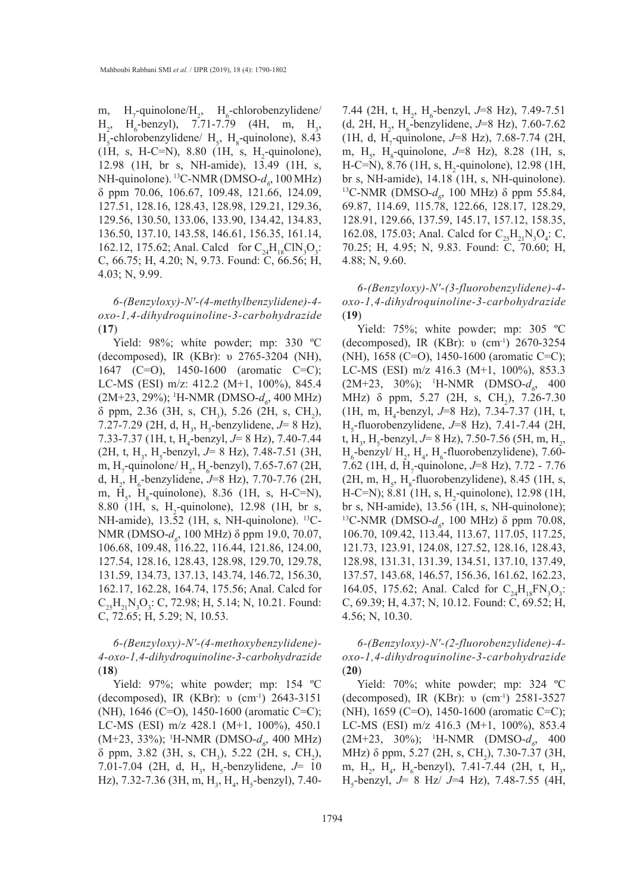m,  $H_7$ -quinolone/ $H_2$ ,  $H_6$ -chlorobenzylidene/  $H_2$ ,  $H_6$  $-$ benzyl), 7.71-7.79 (4H, m, H<sub>3</sub>,  $H<sub>5</sub>$ -chlorobenzylidene/  $H<sub>5</sub>$ ,  $H<sub>8</sub>$ -quinolone), 8.43  $(1H, s, H-C=N), 8.80 (1H, s, H<sub>2</sub>-quino.),$ 12.98 (1H, br s, NH-amide), 13.49 (1H, s, NH-quinolone). <sup>13</sup>C-NMR (DMSO- $d_{\rho}$ , 100 MHz) δ ppm 70.06, 106.67, 109.48, 121.66, 124.09, 127.51, 128.16, 128.43, 128.98, 129.21, 129.36, 129.56, 130.50, 133.06, 133.90, 134.42, 134.83, 136.50, 137.10, 143.58, 146.61, 156.35, 161.14, 162.12, 175.62; Anal. Calcd for  $C_{24}H_{18}CIN_3O_3$ : C, 66.75; H, 4.20; N, 9.73. Found: C, 66.56; H, 4.03; N, 9.99.

*6-(Benzyloxy)-N′-(4-methylbenzylidene)-4 oxo-1,4-dihydroquinoline-3-carbohydrazide* (**17**)

Yield: 98%; white powder; mp: 330 ºC (decomposed), IR (KBr): υ 2765-3204 (NH), 1647 (C=O), 1450-1600 (aromatic C=C); LC-MS (ESI) m/z: 412.2 (M+1, 100%), 845.4 (2M+23, 29%); <sup>1</sup>H-NMR (DMSO- $d_o$ , 400 MHz)  $\delta$  ppm, 2.36 (3H, s, CH<sub>3</sub>), 5.26 (2H, s, CH<sub>2</sub>), 7.27-7.29 (2H, d, H<sub>3</sub>, H<sub>5</sub>-benzylidene, *J*= 8 Hz), 7.33-7.37 (1H, t, H<sub>4</sub>-benzyl, *J*= 8 Hz), 7.40-7.44  $(2H, t, H<sub>3</sub>, H<sub>5</sub>$ -benzyl,  $J= 8$  Hz), 7.48-7.51 (3H, m, H<sub>7</sub>-quinolone/ H<sub>2</sub>, H<sub>6</sub>-benzyl), 7.65-7.67 (2H, d, H<sub>2</sub>, H<sub>6</sub>-benzylidene, *J*=8 Hz), 7.70-7.76 (2H, m,  $H_s$ ,  $H_s$ -quinolone), 8.36 (1H, s, H-C=N), 8.80 (1H, s, H<sub>2</sub>-quinolone), 12.98 (1H, br s, NH-amide), 13.52 (1H, s, NH-quinolone). 13C-NMR (DMSO-*d<sub>6</sub>*, 100 MHz) δ ppm 19.0, 70.07, 106.68, 109.48, 116.22, 116.44, 121.86, 124.00, 127.54, 128.16, 128.43, 128.98, 129.70, 129.78, 131.59, 134.73, 137.13, 143.74, 146.72, 156.30, 162.17, 162.28, 164.74, 175.56; Anal. Calcd for  $C_{25}H_{21}N_{3}O_{3}$ : C, 72.98; H, 5.14; N, 10.21. Found: C, 72.65; H, 5.29; N, 10.53.

*6-(Benzyloxy)-N′-(4-methoxybenzylidene)- 4-oxo-1,4-dihydroquinoline-3-carbohydrazide*  (**18**)

Yield: 97%; white powder; mp: 154 °C (decomposed), IR (KBr): υ (cm-1) 2643-3151 (NH), 1646 (C=O), 1450-1600 (aromatic C=C); LC-MS (ESI) m/z 428.1 (M+1, 100%), 450.1 (M+23, 33%); <sup>1</sup>H-NMR (DMSO- $d<sub>6</sub>$ , 400 MHz)  $\delta$  ppm, 3.82 (3H, s, CH<sub>3</sub>), 5.22 (2H, s, CH<sub>2</sub>), 7.01-7.04 (2H, d, H<sub>3</sub>, H<sub>5</sub>-benzylidene, *J*= 10 Hz), 7.32-7.36 (3H, m, H<sub>3</sub>, H<sub>4</sub>, H<sub>5</sub>-benzyl), 7.40-

7.44 (2H, t, H<sub>2</sub>, H<sub>6</sub>-benzyl, *J*=8 Hz), 7.49-7.51  $(d, 2H, H_2, H_6$ -benzylidene, *J*=8 Hz), 7.60-7.62 (1H, d, H<sub>7</sub>-quinolone, J=8 Hz), 7.68-7.74 (2H, m, H<sub>5</sub>, H<sub>8</sub>-quinolone, J=8 Hz), 8.28 (1H, s,  $H-C=N$ , 8.76 (1H, s,  $H_2$ -quinolone), 12.98 (1H, br s, NH-amide), 14.18 (1H, s, NH-quinolone). <sup>13</sup>C-NMR (DMSO- $d_6$ , 100 MHz) δ ppm 55.84, 69.87, 114.69, 115.78, 122.66, 128.17, 128.29, 128.91, 129.66, 137.59, 145.17, 157.12, 158.35, 162.08, 175.03; Anal. Calcd for  $C_{25}H_{21}N_3O_4$ : C, 70.25; H, 4.95; N, 9.83. Found: C, 70.60; H, 4.88; N, 9.60.

*6-(Benzyloxy)-N′-(3-fluorobenzylidene)-4 oxo-1,4-dihydroquinoline-3-carbohydrazide*  (**19**)

Yield: 75%; white powder; mp: 305 °C (decomposed), IR (KBr): υ (cm-1) 2670-3254 (NH), 1658 (C=O), 1450-1600 (aromatic C=C); LC-MS (ESI) m/z 416.3 (M+1, 100%), 853.3  $(2M+23, 30\%)$ ; <sup>1</sup>H-NMR  $(DMSO-d_6, 400)$ MHz)  $\delta$  ppm, 5.27 (2H, s, CH<sub>2</sub>), 7.26-7.30 (1H, m, H4 -benzyl, *J*=8 Hz), 7.34-7.37 (1H, t, H5 -fluorobenzylidene, *J*=8 Hz), 7.41-7.44 (2H, t, H<sub>3</sub>, H<sub>5</sub>-benzyl, *J*= 8 Hz), 7.50-7.56 (5H, m, H<sub>2</sub>,  $H_6$ -benzyl/  $H_2$ ,  $H_4$ ,  $H_6$ -fluorobenzylidene), 7.60-7.62 (1H, d, H<sub>7</sub>-quinolone, *J*=8 Hz), 7.72 - 7.76  $(2H, m, H<sub>s</sub>, H<sub>8</sub>-fluorobenzylidene), 8.45 (1H, s,$  $H-C=N$ ); 8.81 (1H, s,  $H_2$ -quinolone), 12.98 (1H, br s, NH-amide), 13.56 (1H, s, NH-quinolone); <sup>13</sup>C-NMR (DMSO-*d<sub>6</sub>*, 100 MHz) δ ppm 70.08, 106.70, 109.42, 113.44, 113.67, 117.05, 117.25, 121.73, 123.91, 124.08, 127.52, 128.16, 128.43, 128.98, 131.31, 131.39, 134.51, 137.10, 137.49, 137.57, 143.68, 146.57, 156.36, 161.62, 162.23, 164.05, 175.62; Anal. Calcd for  $C_{24}H_{18}FN_{3}O_{3}$ : C, 69.39; H, 4.37; N, 10.12. Found: C, 69.52; H, 4.56; N, 10.30.

*6-(Benzyloxy)-N′-(2-fluorobenzylidene)-4 oxo-1,4-dihydroquinoline-3-carbohydrazide*  (**20**)

Yield: 70%; white powder; mp: 324 ºC (decomposed), IR (KBr): υ (cm-1) 2581-3527 (NH), 1659 (C=O), 1450-1600 (aromatic C=C); LC-MS (ESI) m/z 416.3 (M+1, 100%), 853.4 (2M+23, 30%); <sup>1</sup>H-NMR (DMSO- $d_o$ , 400 MHz) δ ppm, 5.27 (2H, s, CH<sub>2</sub>), 7.30-7.37 (3H, m, H<sub>2</sub>, H<sub>4</sub>, H<sub>6</sub>-benzyl), 7.41-7.44 (2H, t, H<sub>3</sub>, H5 -benzyl, *J*= 8 Hz/ *J*=4 Hz), 7.48-7.55 (4H,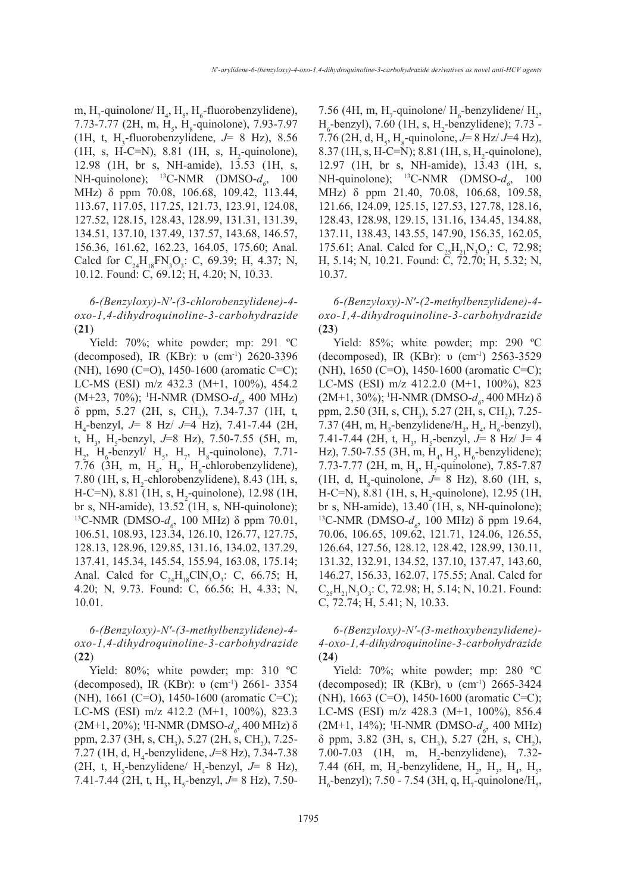m, H<sub>7</sub>-quinolone/  $H_4$ , H<sub>5</sub>, H<sub>6</sub>-fluorobenzylidene), 7.73-7.77 (2H, m, H<sub>5</sub>, H<sub>8</sub>-quinolone), 7.93-7.97  $(1H, t, H<sub>3</sub>-fluorobenzylidene, J= 8 Hz), 8.56$  $(1H, s, H-C=N), 8.81 (1H, s, H<sub>2</sub>-quino.),$ 12.98 (1H, br s, NH-amide), 13.53 (1H, s, NH-quinolone);  $^{13}$ C-NMR (DMSO- $d_6$ , 100 MHz) δ ppm 70.08, 106.68, 109.42, 113.44, 113.67, 117.05, 117.25, 121.73, 123.91, 124.08, 127.52, 128.15, 128.43, 128.99, 131.31, 131.39, 134.51, 137.10, 137.49, 137.57, 143.68, 146.57, 156.36, 161.62, 162.23, 164.05, 175.60; Anal. Calcd for  $C_{24}H_{18}FN_3O_3$ : C, 69.39; H, 4.37; N, 10.12. Found: C, 69.12; H, 4.20; N, 10.33.

*6-(Benzyloxy)-N′-(3-chlorobenzylidene)-4 oxo-1,4-dihydroquinoline-3-carbohydrazide*  (**21**)

Yield: 70%; white powder; mp: 291 ºC (decomposed), IR (KBr): υ (cm-1) 2620-3396 (NH), 1690 (C=O), 1450-1600 (aromatic C=C); LC-MS (ESI) m/z 432.3 (M+1, 100%), 454.2 (M+23, 70%); <sup>1</sup>H-NMR (DMSO- $d_{\delta}$ , 400 MHz)  $\delta$  ppm, 5.27 (2H, s, CH<sub>2</sub>), 7.34-7.37 (1H, t, H4 -benzyl, *J*= 8 Hz/ *J*=4 Hz), 7.41-7.44 (2H, t, H<sub>3</sub>, H<sub>5</sub>-benzyl, *J*=8 Hz), 7.50-7.55 (5H, m,  $H_2$ ,  $H_6$ -benzyl/  $H_5$ ,  $H_7$ ,  $H_8$ -quinolone), 7.71-7.76 (3H, m,  $H_4$ ,  $H_5$ ,  $H_6$ -chlorobenzylidene), 7.80 (1H, s,  $H_2$ -chlorobenzylidene), 8.43 (1H, s,  $H-C=N$ , 8.81 (1H, s,  $H_2$ -quinolone), 12.98 (1H, br s, NH-amide), 13.52 (1H, s, NH-quinolone); <sup>13</sup>C-NMR (DMSO- $d_6$ , 100 MHz) δ ppm 70.01, 106.51, 108.93, 123.34, 126.10, 126.77, 127.75, 128.13, 128.96, 129.85, 131.16, 134.02, 137.29, 137.41, 145.34, 145.54, 155.94, 163.08, 175.14; Anal. Calcd for  $C_{24}H_{18}CIN_3O_3$ : C, 66.75; H, 4.20; N, 9.73. Found: C, 66.56; H, 4.33; N, 10.01.

*6-(Benzyloxy)-N′-(3-methylbenzylidene)-4 oxo-1,4-dihydroquinoline-3-carbohydrazide*  (**22**)

Yield: 80%; white powder; mp: 310 ºC (decomposed), IR (KBr): υ (cm-1) 2661- 3354 (NH), 1661 (C=O), 1450-1600 (aromatic C=C); LC-MS (ESI) m/z 412.2 (M+1, 100%), 823.3 (2M+1, 20%); <sup>1</sup>H-NMR (DMSO-*d<sub>6</sub>*, 400 MHz) δ ppm, 2.37 (3H, s, CH<sub>3</sub>), 5.27 (2H, s, CH<sub>2</sub>), 7.25-7.27 (1H, d, H4 -benzylidene, *J*=8 Hz), 7.34-7.38  $(2H, t, H<sub>5</sub>$ -benzylidene/  $H<sub>4</sub>$ -benzyl,  $J= 8$  Hz), 7.41-7.44 (2H, t, H<sub>3</sub>, H<sub>5</sub>-benzyl, *J*= 8 Hz), 7.50-

7.56 (4H, m, H<sub>7</sub>-quinolone/  $H_6$ -benzylidene/  $H_2$ ,  $H_6$ -benzyl), 7.60 (1H, s,  $H_2$ -benzylidene); 7.73 -7.76 (2H, d, H<sub>5</sub>, H<sub>8</sub>-quinolone,  $J=8$  Hz/ $J=4$  Hz), 8.37 (1H, s, H-C=N); 8.81 (1H, s, H<sub>2</sub>-quinolone), 12.97 (1H, br s, NH-amide), 13.43 (1H, s, NH-quinolone); <sup>13</sup>C-NMR (DMSO- $d_{\delta}$ , 100 MHz) δ ppm 21.40, 70.08, 106.68, 109.58, 121.66, 124.09, 125.15, 127.53, 127.78, 128.16, 128.43, 128.98, 129.15, 131.16, 134.45, 134.88, 137.11, 138.43, 143.55, 147.90, 156.35, 162.05, 175.61; Anal. Calcd for  $C_{25}H_{21}N_3O_3$ : C, 72.98; H, 5.14; N, 10.21. Found: C, 72.70; H, 5.32; N, 10.37.

*6-(Benzyloxy)-N′-(2-methylbenzylidene)-4 oxo-1,4-dihydroquinoline-3-carbohydrazide*  (**23**)

Yield: 85%; white powder; mp: 290 ºC (decomposed), IR (KBr): υ (cm-1) 2563-3529 (NH), 1650 (C=O), 1450-1600 (aromatic C=C); LC-MS (ESI) m/z 412.2.0 (M+1, 100%), 823 (2M+1, 30%); <sup>1</sup>H-NMR (DMSO-*d<sub>6</sub>*, 400 MHz) δ ppm, 2.50 (3H, s, CH<sub>3</sub>), 5.27 (2H, s, CH<sub>2</sub>), 7.25-7.37 (4H, m,  $H_3$ -benzylidene/ $H_2$ ,  $H_4$ ,  $H_6$ -benzyl), 7.41-7.44 (2H, t, H<sub>3</sub>, H<sub>5</sub>-benzyl, *J*= 8 Hz/ J= 4 Hz), 7.50-7.55 (3H, m,  $H_4$ ,  $H_5$ ,  $H_6$ -benzylidene); 7.73-7.77 (2H, m,  $H_s$ ,  $H_7$ -quinolone), 7.85-7.87  $(1H, d, H_s$ -quinolone,  $J= 8$  Hz), 8.60 (1H, s,  $H-C=N$ ), 8.81 (1H, s,  $H_2$ -quinolone), 12.95 (1H, br s, NH-amide), 13.40 (1H, s, NH-quinolone); <sup>13</sup>C-NMR (DMSO-*d<sub>6</sub>*, 100 MHz) δ ppm 19.64, 70.06, 106.65, 109.62, 121.71, 124.06, 126.55, 126.64, 127.56, 128.12, 128.42, 128.99, 130.11, 131.32, 132.91, 134.52, 137.10, 137.47, 143.60, 146.27, 156.33, 162.07, 175.55; Anal. Calcd for  $C_{25}H_{21}N_3O_3$ : C, 72.98; H, 5.14; N, 10.21. Found: C, 72.74; H, 5.41; N, 10.33.

*6-(Benzyloxy)-N′-(3-methoxybenzylidene)- 4-oxo-1,4-dihydroquinoline-3-carbohydrazide*  (**24**)

Yield: 70%; white powder; mp: 280 ºC (decomposed); IR (KBr), υ (cm-1) 2665-3424 (NH), 1663 (C=O), 1450-1600 (aromatic C=C); LC-MS (ESI) m/z 428.3 (M+1, 100%), 856.4 (2M+1, 14%); <sup>1</sup>H-NMR (DMSO- $d_{\rho}$ , 400 MHz)  $\delta$  ppm, 3.82 (3H, s, CH<sub>3</sub>), 5.27 (2H, s, CH<sub>2</sub>), 7.00-7.03 (1H, m, H<sub>2</sub>-benzylidene), 7.32-7.44 (6H, m, H<sub>4</sub>-benzylidene, H<sub>2</sub>, H<sub>3</sub>, H<sub>4</sub>, H<sub>5</sub>,  $H_6$ -benzyl); 7.50 - 7.54 (3H, q, H<sub>7</sub>-quinolone/H<sub>5</sub>,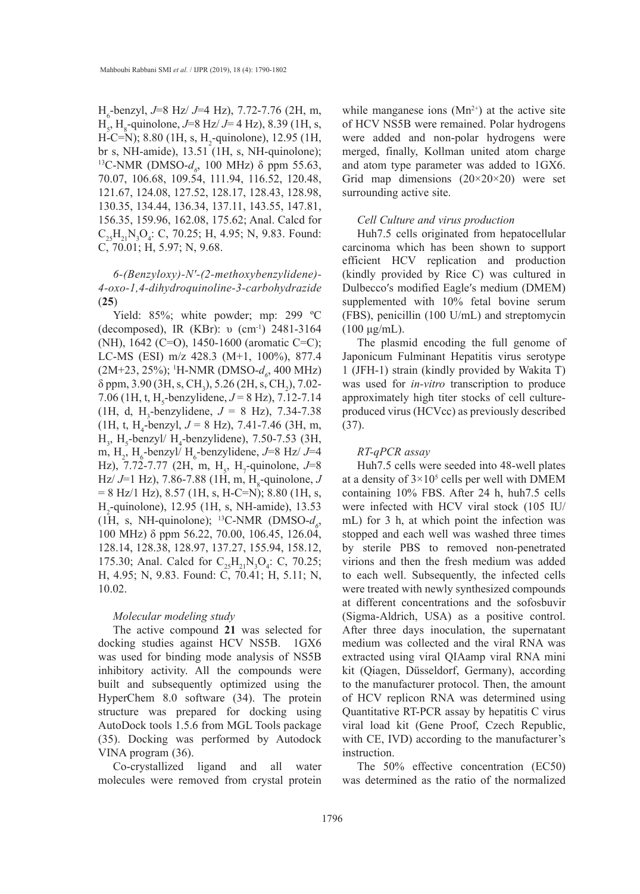H6 -benzyl, *J*=8 Hz/ *J*=4 Hz), 7.72-7.76 (2H, m, H<sub>5</sub>, H<sub>8</sub>-quinolone, *J*=8 Hz/ *J*=4 Hz), 8.39 (1H, s,  $H-C=N$ ); 8.80 (1H, s,  $H_2$ -quinolone), 12.95 (1H, br s, NH-amide), 13.51 (1H, s, NH-quinolone); <sup>13</sup>C-NMR (DMSO- $d_6$ , 100 MHz) δ ppm 55.63, 70.07, 106.68, 109.54, 111.94, 116.52, 120.48, 121.67, 124.08, 127.52, 128.17, 128.43, 128.98, 130.35, 134.44, 136.34, 137.11, 143.55, 147.81, 156.35, 159.96, 162.08, 175.62; Anal. Calcd for  $C_{25}H_{21}N_{3}O_{4}$ : C, 70.25; H, 4.95; N, 9.83. Found: C, 70.01; H, 5.97; N, 9.68.

# *6-(Benzyloxy)-N′-(2-methoxybenzylidene)- 4-oxo-1,4-dihydroquinoline-3-carbohydrazide*  (**25**)

Yield: 85%; white powder; mp: 299 °C (decomposed), IR (KBr): υ (cm-1) 2481-3164 (NH), 1642 (C=O), 1450-1600 (aromatic C=C); LC-MS (ESI) m/z 428.3 (M+1, 100%), 877.4 (2M+23, 25%); <sup>1</sup>H-NMR (DMSO- $d_o$ , 400 MHz)  $\delta$  ppm, 3.90 (3H, s, CH<sub>3</sub>), 5.26 (2H, s, CH<sub>2</sub>), 7.02-7.06 (1H, t, H<sub>5</sub>-benzylidene,  $J = 8$  Hz), 7.12-7.14 (1H, d, H<sub>3</sub>-benzylidene,  $J = 8$  Hz), 7.34-7.38  $(1H, t, H_4$ -benzyl,  $J = 8$  Hz), 7.41-7.46 (3H, m,  $H_3$ , H<sub>5</sub>-benzyl/ H<sub>4</sub>-benzylidene), 7.50-7.53 (3H, m, H<sub>2</sub>, H<sub>6</sub>-benzyl/ H<sub>6</sub>-benzylidene, J=8 Hz/ J=4 Hz), 7.72-7.77 (2H, m, H<sub>5</sub>, H<sub>7</sub>-quinolone,  $J=8$ Hz/ *J*=1 Hz), 7.86-7.88 (1H, m, H<sub>8</sub>-quinolone, *J*  $= 8$  Hz/1 Hz), 8.57 (1H, s, H-C=N); 8.80 (1H, s, H2 -quinolone), 12.95 (1H, s, NH-amide), 13.53 (1H, s, NH-quinolone); <sup>13</sup>C-NMR (DMSO- $d_{\rho}$ , 100 MHz) δ ppm 56.22, 70.00, 106.45, 126.04, 128.14, 128.38, 128.97, 137.27, 155.94, 158.12, 175.30; Anal. Calcd for  $C_{25}H_{21}N_3O_4$ : C, 70.25; H, 4.95; N, 9.83. Found: C, 70.41; H, 5.11; N, 10.02.

#### *Molecular modeling study*

The active compound **21** was selected for docking studies against HCV NS5B. 1GX6 was used for binding mode analysis of NS5B inhibitory activity. All the compounds were built and subsequently optimized using the HyperChem 8.0 software (34). The protein structure was prepared for docking using AutoDock tools 1.5.6 from MGL Tools package (35). Docking was performed by Autodock VINA program (36).

Co-crystallized ligand and all water molecules were removed from crystal protein while manganese ions  $(Mn^{2+})$  at the active site of HCV NS5B were remained. Polar hydrogens were added and non-polar hydrogens were merged, finally, Kollman united atom charge and atom type parameter was added to 1GX6. Grid map dimensions  $(20\times20\times20)$  were set surrounding active site.

#### *Cell Culture and virus production*

Huh7.5 cells originated from hepatocellular carcinoma which has been shown to support efficient HCV replication and production (kindly provided by Rice C) was cultured in Dulbecco′s modified Eagle′s medium (DMEM) supplemented with 10% fetal bovine serum (FBS), penicillin (100 U/mL) and streptomycin  $(100 \mu g/mL)$ .

The plasmid encoding the full genome of Japonicum Fulminant Hepatitis virus serotype 1 (JFH-1) strain (kindly provided by Wakita T) was used for *in-vitro* transcription to produce approximately high titer stocks of cell cultureproduced virus (HCVcc) as previously described (37).

#### *RT-qPCR assay*

Huh7.5 cells were seeded into 48-well plates at a density of  $3 \times 10^5$  cells per well with DMEM containing 10% FBS. After 24 h, huh7.5 cells were infected with HCV viral stock (105 IU/ mL) for 3 h, at which point the infection was stopped and each well was washed three times by sterile PBS to removed non-penetrated virions and then the fresh medium was added to each well. Subsequently, the infected cells were treated with newly synthesized compounds at different concentrations and the sofosbuvir (Sigma-Aldrich, USA) as a positive control. After three days inoculation, the supernatant medium was collected and the viral RNA was extracted using viral QIAamp viral RNA mini kit (Qiagen, Düsseldorf, Germany), according to the manufacturer protocol. Then, the amount of HCV replicon RNA was determined using Quantitative RT-PCR assay by hepatitis C virus viral load kit (Gene Proof, Czech Republic, with CE, IVD) according to the manufacturer's instruction.

The 50% effective concentration (EC50) was determined as the ratio of the normalized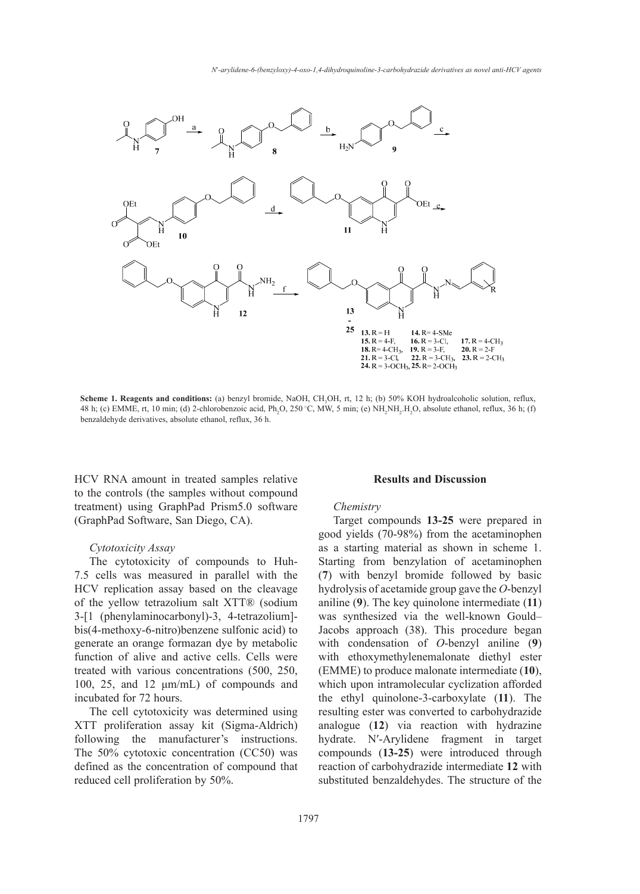

**Scheme 1. Reagents and conditions:** (a) benzyl bromide, NaOH, CH<sub>3</sub>OH, rt, 12 h; (b) 50% KOH hydroalcoholic solution, reflux, benzaldehyde derivatives, absolute ethanol, reflux, 36 h. 48 h; (c) EMME, rt, 10 min; (d) 2-chlorobenzoic acid, Ph<sub>2</sub>O, 250 °C, MW, 5 min; (e)  $NH_2NH_2.H_2O$ , absolute ethanol, reflux, 36 h; (f)

HCV RNA amount in treated samples relative to the controls (the samples without compound treatment) using GraphPad Prism5.0 software (GraphPad Software, San Diego, CA).

#### *Cytotoxicity Assay*

The cytotoxicity of compounds to Huh-7.5 cells was measured in parallel with the HCV replication assay based on the cleavage of the yellow tetrazolium salt XTT® (sodium 3-[1 (phenylaminocarbonyl)-3, 4-tetrazolium] bis(4-methoxy-6-nitro)benzene sulfonic acid) to generate an orange formazan dye by metabolic function of alive and active cells. Cells were treated with various concentrations (500, 250, 100, 25, and 12 μm/mL) of compounds and which upon incubated for 72 hours.

The cell cytotoxicity was determined using XTT proliferation assay kit (Sigma-Aldrich) following the manufacturer's instructions. The 50% cytotoxic concentration (CC50) was defined as the concentration of compound that reduced cell proliferation by 50%.

#### **Results and Discussion**

#### *Chemistry*

Target compounds **13-25** were prepared in good yields (70-98%) from the acetaminophen as a starting material as shown in scheme 1. e cytotoxicity of compounds to Huh-<br>Starting from benzylation of acetaminophen (**7**) with benzyl bromide followed by basic replication assay based on the cleavage hydrolysis of acetamide group gave the *O*-benzyl aniline (**9**). The key quinolone intermediate (**11**) (phenylaminocarbonyl)-3, 4-tetrazolium]- was synthesized via the well-known Gould-Jacobs approach (38). This procedure began ate an orange formazan dye by metabolic with condensation of *O*-benzyl aniline (9) with ethoxymethylenemalonate diethyl ester d with various concentrations (500, 250, (EMME) to produce malonate intermediate (10), which upon intramolecular cyclization afforded the ethyl quinolone-3-carboxylate (**11**). The resulting ester was converted to carbohydrazide analogue (**12**) via reaction with hydrazine hydrate. N′-Arylidene fragment in target compounds (**13-25**) were introduced through reaction of carbohydrazide intermediate **12** with substituted benzaldehydes. The structure of the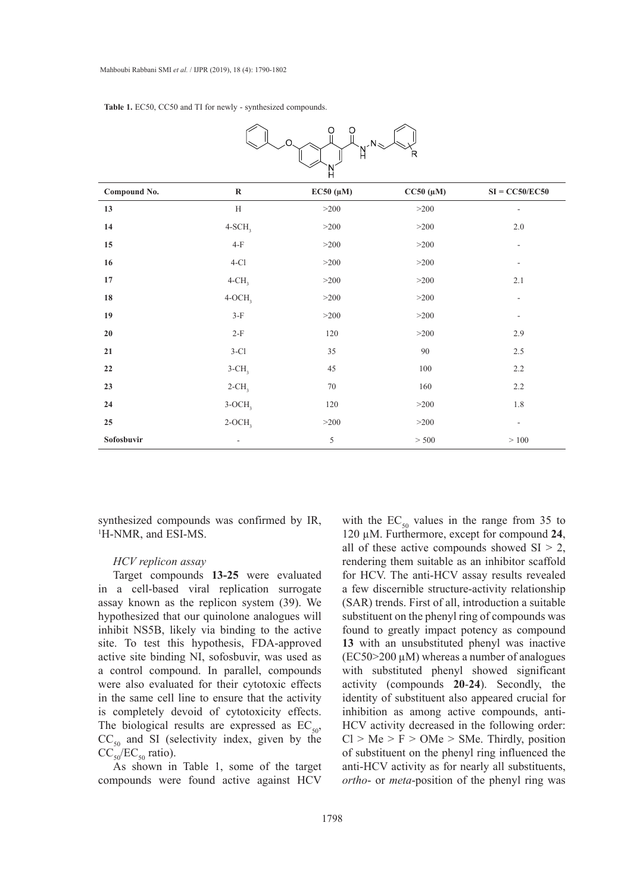**Table 1.** EC50, CC50 and TI for newly - synthesized compounds.

|              |                          | Н              |                |                          |
|--------------|--------------------------|----------------|----------------|--------------------------|
| Compound No. | $\mathbf R$              | $EC50~(\mu M)$ | $CC50~(\mu M)$ | $SI = CC50/EC50$         |
| 13           | H                        | >200           | >200           | ٠                        |
| 14           | $4-SCH3$                 | >200           | >200           | $2.0\,$                  |
| 15           | $4-F$                    | >200           | >200           | $\overline{\phantom{a}}$ |
| 16           | $4-C1$                   | >200           | >200           | $\overline{\phantom{a}}$ |
| 17           | $4$ -CH <sub>3</sub>     | >200           | >200           | 2.1                      |
| 18           | $4-OCH3$                 | >200           | >200           | $\overline{\phantom{a}}$ |
| 19           | $3-F$                    | $>200$         | >200           | $\overline{\phantom{a}}$ |
| 20           | $2-F$                    | 120            | >200           | $2.9\,$                  |
| 21           | $3-C1$                   | 35             | 90             | 2.5                      |
| 22           | $3$ -CH <sub>3</sub>     | 45             | 100            | 2.2                      |
| 23           | $2$ -CH <sub>3</sub>     | $70\,$         | 160            | 2.2                      |
| 24           | $3-OCH3$                 | 120            | >200           | 1.8                      |
| 25           | $2-OCH3$                 | >200           | >200           | $\overline{\phantom{a}}$ |
| Sofosbuvir   | $\overline{\phantom{a}}$ | 5              | > 500          | >100                     |



synthesized compounds was confirmed by IR, 1 H-NMR, and ESI-MS.

# *HCV replicon assay*

Target compounds **13-25** were evaluated in a cell-based viral replication surrogate assay known as the replicon system (39). We hypothesized that our quinolone analogues will inhibit NS5B, likely via binding to the active site. To test this hypothesis, FDA-approved active site binding NI, sofosbuvir, was used as a control compound. In parallel, compounds were also evaluated for their cytotoxic effects in the same cell line to ensure that the activity is completely devoid of cytotoxicity effects. The biological results are expressed as  $EC_{50}$ ,  $CC_{50}$  and SI (selectivity index, given by the  $CC_{50}/EC_{50}$  ratio).

As shown in Table 1, some of the target compounds were found active against HCV

with the  $EC_{50}$  values in the range from 35 to  $MS.$  120  $\mu$ M. Furthermore, except for compound 24, all of these active compounds showed  $SI > 2$ , rendering them suitable as an inhibitor scaffold for HCV. The anti-HCV assay results revealed a few discernible structure-activity relationship (SAR) trends. First of all, introduction a suitable substituent on the phenyl ring of compounds was found to greatly impact potency as compound **13** with an unsubstituted phenyl was inactive  $(EC50>200 \mu M)$  whereas a number of analogues with substituted phenyl showed significant activity (compounds **20**-**24**). Secondly, the identity of substituent also appeared crucial for inhibition as among active compounds, anti-HCV activity decreased in the following order:  $Cl > Me > F > OMe > SMe$ . Thirdly, position of substituent on the phenyl ring influenced the anti-HCV activity as for nearly all substituents, *ortho*- or *meta*-position of the phenyl ring was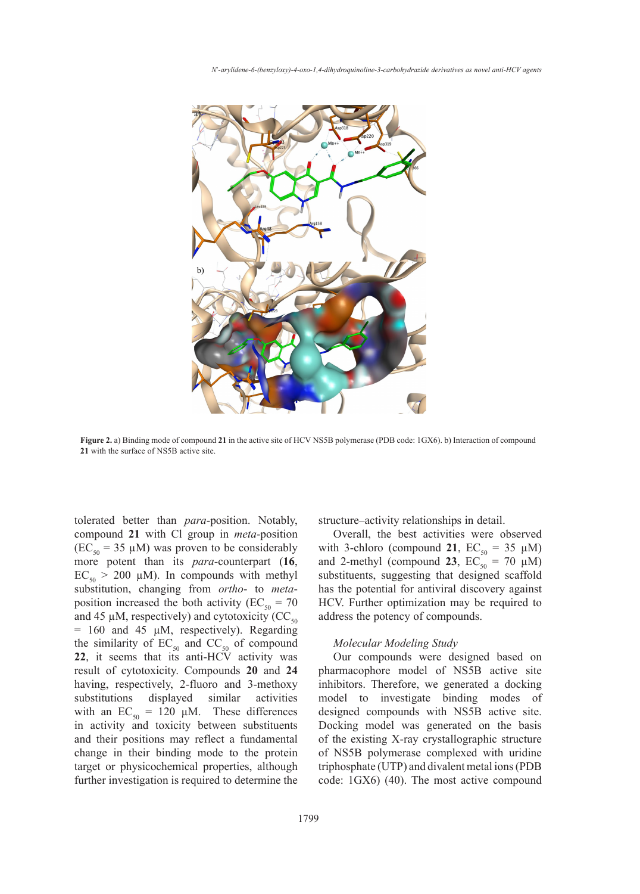

21 with the surface of NS5B active site. **Figure 2.** a) Binding mode of compound **21** in the active site of HCV NS5B polymerase (PDB code: 1GX6). b) Interaction of compound

tolerated better than *para*-position. Notably, compound **21** with Cl group in *meta*-position  $(EC_{50} = 35 \mu M)$  was proven to be considerably more potent than its *para*-counterpart (**16**,  $EC_{50}$  > 200 µM). In compounds with methyl substitution, changing from *ortho*- to *meta*position increased the both activity ( $EC_{50} = 70$ and 45  $\mu$ M, respectively) and cytotoxicity (CC<sub>50</sub>) = 160 and 45 µM, respectively). Regarding the similarity of  $EC_{50}$  and  $CC_{50}$  of compound **22**, it seems that its anti-HCV activity was result of cytotoxicity. Compounds **20** and **24**  having, respectively, 2-fluoro and 3-methoxy substitutions displayed similar activities with an  $EC_{50} = 120 \mu M$ . These differences in activity and toxicity between substituents and their positions may reflect a fundamental change in their binding mode to the protein target or physicochemical properties, although further investigation is required to determine the

than *para*-position. Notably, structure-activity relationships in detail.

Overall, the best activities were observed with 3-chloro (compound 21,  $EC_{50} = 35 \mu M$ ) and 2-methyl (compound **23**,  $EC_{50} = 70 \mu M$ ) substituents, suggesting that designed scaffold has the potential for antiviral discovery against HCV. Further optimization may be required to address the potency of compounds.  $\alpha$  results of cell-based HCV replicatives. The second-based  $\alpha$  replication assay revealed  $\alpha$ han its *para*-counterpart  $(16, \ldots)$  and 2-methyl (compound 23, E

## *Molecular Modeling Study*

Our compounds were designed based on pharmacophore model of NS5B active site inhibitors. Therefore, we generated a docking model to investigate binding modes of designed compounds with NS5B active site. Docking model was generated on the basis of the existing X-ray crystallographic structure of NS5B polymerase complexed with uridine triphosphate (UTP) and divalent metal ions (PDB code: 1GX6) (40). The most active compound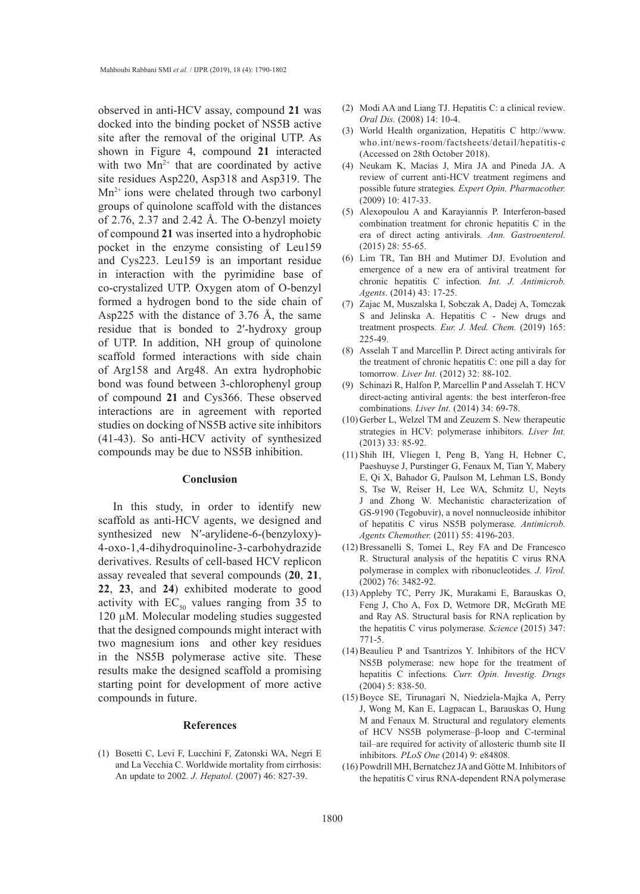observed in anti-HCV assay, compound **21** was docked into the binding pocket of NS5B active site after the removal of the original UTP. As shown in Figure 4, compound **21** interacted with two  $Mn^{2+}$  that are coordinated by active site residues Asp220, Asp318 and Asp319. The  $Mn^{2+}$  ions were chelated through two carbonyl groups of quinolone scaffold with the distances of 2.76, 2.37 and 2.42 Å. The O-benzyl moiety of compound **21** was inserted into a hydrophobic pocket in the enzyme consisting of Leu159 and Cys223. Leu159 is an important residue in interaction with the pyrimidine base of co-crystalized UTP. Oxygen atom of O-benzyl formed a hydrogen bond to the side chain of Asp225 with the distance of 3.76 Å, the same residue that is bonded to 2′-hydroxy group of UTP. In addition, NH group of quinolone scaffold formed interactions with side chain of Arg158 and Arg48. An extra hydrophobic bond was found between 3-chlorophenyl group of compound **21** and Cys366. These observed interactions are in agreement with reported studies on docking of NS5B active site inhibitors (41-43). So anti-HCV activity of synthesized compounds may be due to NS5B inhibition.

#### **Conclusion**

In this study, in order to identify new scaffold as anti-HCV agents, we designed and synthesized new N′-arylidene-6-(benzyloxy)- 4-oxo-1,4-dihydroquinoline-3-carbohydrazide derivatives. Results of cell-based HCV replicon assay revealed that several compounds (**20**, **21**, **22**, **23**, and **24**) exhibited moderate to good activity with  $EC_{50}$  values ranging from 35 to 120 µM. Molecular modeling studies suggested that the designed compounds might interact with two magnesium ions and other key residues in the NS5B polymerase active site. These results make the designed scaffold a promising starting point for development of more active compounds in future.

# **References**

(1) Bosetti C, Levi F, Lucchini F, Zatonski WA, Negri E and La Vecchia C. Worldwide mortality from cirrhosis: An update to 2002*. J. Hepatol.* (2007) 46: 827-39.

- Modi AA and Liang TJ. Hepatitis C: a clinical review*.* (2) *Oral Dis.* (2008) 14: 10-4.
- World Health organization, Hepatitis C http://www. (3) who.int/news-room/factsheets/detail/hepatitis-c (Accessed on 28th October 2018).
- (4) Neukam K, Macías J, Mira JA and Pineda JA. A review of current anti-HCV treatment regimens and possible future strategies*. Expert Opin. Pharmacother.* (2009) 10: 417-33.
- Alexopoulou A and Karayiannis P. Interferon-based (5) combination treatment for chronic hepatitis C in the era of direct acting antivirals*. Ann. Gastroenterol.* (2015) 28: 55-65.
- (6) Lim TR, Tan BH and Mutimer DJ. Evolution and emergence of a new era of antiviral treatment for chronic hepatitis C infection*. Int. J. Antimicrob. Agents*. (2014) 43: 17-25.
- (7) Zajac M, Muszalska I, Sobczak A, Dadej A, Tomczak S and Jelinska A. Hepatitis C - New drugs and treatment prospects*. Eur. J. Med. Chem.* (2019) 165: 225-49.
- Asselah T and Marcellin P. Direct acting antivirals for (8) the treatment of chronic hepatitis C: one pill a day for tomorrow*. Liver Int.* (2012) 32: 88-102.
- (9) Schinazi R, Halfon P, Marcellin P and Asselah T. HCV direct-acting antiviral agents: the best interferon-free combinations*. Liver Int.* (2014) 34: 69-78.
- $(10)$  Gerber L, Welzel TM and Zeuzem S. New therapeutic strategies in HCV: polymerase inhibitors*. Liver Int.* (2013) 33: 85-92.
- (11) Shih IH, Vliegen I, Peng B, Yang H, Hebner C, Paeshuyse J, Purstinger G, Fenaux M, Tian Y, Mabery E, Qi X, Bahador G, Paulson M, Lehman LS, Bondy S, Tse W, Reiser H, Lee WA, Schmitz U, Neyts J and Zhong W. Mechanistic characterization of GS-9190 (Tegobuvir), a novel nonnucleoside inhibitor of hepatitis C virus NS5B polymerase*. Antimicrob. Agents Chemother.* (2011) 55: 4196-203.
- (12) Bressanelli S, Tomei L, Rey FA and De Francesco R. Structural analysis of the hepatitis C virus RNA polymerase in complex with ribonucleotides*. J. Virol.* (2002) 76: 3482-92.
- (13) Appleby TC, Perry JK, Murakami E, Barauskas O, Feng J, Cho A, Fox D, Wetmore DR, McGrath ME and Ray AS. Structural basis for RNA replication by the hepatitis C virus polymerase*. Science* (2015) 347: 771-5.
- $(14)$  Beaulieu P and Tsantrizos Y. Inhibitors of the HCV NS5B polymerase: new hope for the treatment of hepatitis C infections*. Curr. Opin. Investig. Drugs* (2004) 5: 838-50.
- (15) Boyce SE, Tirunagari N, Niedziela-Majka A, Perry J, Wong M, Kan E, Lagpacan L, Barauskas O, Hung M and Fenaux M. Structural and regulatory elements of HCV NS5B polymerase–β-loop and C-terminal tail–are required for activity of allosteric thumb site II inhibitors*. PLoS One* (2014) 9: e84808.
- (16) Powdrill MH, Bernatchez JA and Götte M. Inhibitors of the hepatitis C virus RNA-dependent RNA polymerase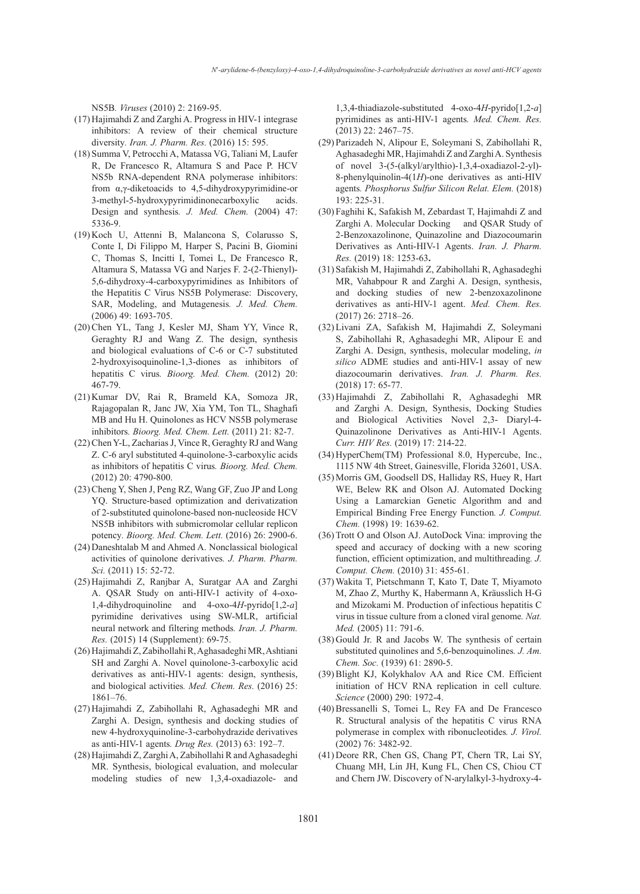NS5B*. Viruses* (2010) 2: 2169-95.

- (17) Hajimahdi Z and Zarghi A. Progress in HIV-1 integrase inhibitors: A review of their chemical structure diversity*. Iran. J. Pharm. Res.* (2016) 15: 595.
- (18) Summa V, Petrocchi A, Matassa VG, Taliani M, Laufer R, De Francesco R, Altamura S and Pace P. HCV NS5b RNA-dependent RNA polymerase inhibitors: from α,γ-diketoacids to 4,5-dihydroxypyrimidine-or 3-methyl-5-hydroxypyrimidinonecarboxylic acids. Design and synthesis*. J. Med. Chem.* (2004) 47: 5336-9.
- (19) Koch U, Attenni B, Malancona S, Colarusso S, Conte I, Di Filippo M, Harper S, Pacini B, Giomini C, Thomas S, Incitti I, Tomei L, De Francesco R, Altamura S, Matassa VG and Narjes F. 2-(2-Thienyl)- 5,6-dihydroxy-4-carboxypyrimidines as Inhibitors of the Hepatitis C Virus NS5B Polymerase:  Discovery, SAR, Modeling, and Mutagenesis*. J. Med. Chem.* (2006) 49: 1693-705.
- (20) Chen YL, Tang J, Kesler MJ, Sham YY, Vince R, Geraghty RJ and Wang Z. The design, synthesis and biological evaluations of C-6 or C-7 substituted 2-hydroxyisoquinoline-1,3-diones as inhibitors of hepatitis C virus*. Bioorg. Med. Chem.* (2012) 20: 467-79.
- (21) Kumar DV, Rai R, Brameld KA, Somoza JR, Rajagopalan R, Janc JW, Xia YM, Ton TL, Shaghafi MB and Hu H. Quinolones as HCV NS5B polymerase inhibitors*. Bioorg. Med. Chem. Lett.* (2011) 21: 82-7.
- (22) Chen Y-L, Zacharias J, Vince R, Geraghty RJ and Wang Z. C-6 aryl substituted 4-quinolone-3-carboxylic acids as inhibitors of hepatitis C virus*. Bioorg. Med. Chem.* (2012) 20: 4790-800.
- (23) Cheng Y, Shen J, Peng RZ, Wang GF, Zuo JP and Long YQ. Structure-based optimization and derivatization of 2-substituted quinolone-based non-nucleoside HCV NS5B inhibitors with submicromolar cellular replicon potency*. Bioorg. Med. Chem. Lett.* (2016) 26: 2900-6.
- (24) Daneshtalab M and Ahmed A. Nonclassical biological activities of quinolone derivatives*. J. Pharm. Pharm. Sci.* (2011) 15: 52-72.
- (25) Hajimahdi Z, Ranjbar A, Suratgar AA and Zarghi A. QSAR Study on anti-HIV-1 activity of 4-oxo-1,4-dihydroquinoline and 4-oxo-4*H*-pyrido[1,2-*a*] pyrimidine derivatives using SW-MLR, artificial neural network and filtering methods*. Iran. J. Pharm. Res.* (2015) 14 (Supplement): 69-75.
- Hajimahdi Z, Zabihollahi R, Aghasadeghi MR, Ashtiani (26) SH and Zarghi A. Novel quinolone-3-carboxylic acid derivatives as anti-HIV-1 agents: design, synthesis, and biological activities*. Med. Chem. Res.* (2016) 25: 1861–76.
- (27) Hajimahdi Z, Zabihollahi R, Aghasadeghi MR and Zarghi A. Design, synthesis and docking studies of new 4-hydroxyquinoline-3-carbohydrazide derivatives as anti-HIV-1 agents*. Drug Res.* (2013) 63: 192–7.
- (28) Hajimahdi Z, Zarghi A, Zabihollahi R and Aghasadeghi MR. Synthesis, biological evaluation, and molecular modeling studies of new 1,3,4-oxadiazole- and

1,3,4-thiadiazole-substituted 4-oxo-4*H*-pyrido[1,2-*a*] pyrimidines as anti-HIV-1 agents*. Med. Chem. Res.* (2013) 22: 2467–75.

- Parizadeh N, Alipour E, Soleymani S, Zabihollahi R, (29) Aghasadeghi MR, Hajimahdi Z and Zarghi A. Synthesis of novel 3-(5-(alkyl/arylthio)-1,3,4-oxadiazol-2-yl)- 8-phenylquinolin-4(1*H*)-one derivatives as anti-HIV agents*. Phosphorus Sulfur Silicon Relat. Elem.* (2018) 193: 225-31.
- Faghihi K, Safakish M, Zebardast T, Hajimahdi Z and (30) Zarghi A. Molecular Docking and QSAR Study of 2-Benzoxazolinone, Quinazoline and Diazocoumarin Derivatives as Anti-HIV-1 Agents. *Iran. J. Pharm. Res.* (2019) 18: 1253-63**.**
- (31) Safakish M, Hajimahdi Z, Zabihollahi R, Aghasadeghi MR, Vahabpour R and Zarghi A. Design, synthesis, and docking studies of new 2-benzoxazolinone derivatives as anti-HIV-1 agent. *Med. Chem. Res.* (2017) 26: 2718–26.
- (32) Livani ZA, Safakish M, Hajimahdi Z, Soleymani S, Zabihollahi R, Aghasadeghi MR, Alipour E and Zarghi A. Design, synthesis, molecular modeling, *in silico* ADME studies and anti-HIV-1 assay of new diazocoumarin derivatives. *Iran. J. Pharm. Res.* (2018) 17: 65-77.
- (33) Hajimahdi Z, Zabihollahi R, Aghasadeghi MR and Zarghi A. Design, Synthesis, Docking Studies and Biological Activities Novel 2,3- Diaryl-4- Quinazolinone Derivatives as Anti-HIV-1 Agents. *Curr. HIV Res.* (2019) 17: 214-22.
- (34) HyperChem(TM) Professional 8.0, Hypercube, Inc., 1115 NW 4th Street, Gainesville, Florida 32601, USA.
- (35) Morris GM, Goodsell DS, Halliday RS, Huey R, Hart WE, Belew RK and Olson AJ. Automated Docking Using a Lamarckian Genetic Algorithm and and Empirical Binding Free Energy Function*. J. Comput. Chem.* (1998) 19: 1639-62.
- (36) Trott O and Olson AJ. AutoDock Vina: improving the speed and accuracy of docking with a new scoring function, efficient optimization, and multithreading*. J. Comput. Chem.* (2010) 31: 455-61.
- Wakita T, Pietschmann T, Kato T, Date T, Miyamoto (37) M, Zhao Z, Murthy K, Habermann A, Kräusslich H-G and Mizokami M. Production of infectious hepatitis C virus in tissue culture from a cloned viral genome*. Nat. Med.* (2005) 11: 791-6.
- (38) Gould Jr. R and Jacobs W. The synthesis of certain substituted quinolines and 5,6-benzoquinolines*. J. Am. Chem. Soc.* (1939) 61: 2890-5.
- (39) Blight KJ, Kolykhalov AA and Rice CM. Efficient initiation of HCV RNA replication in cell culture*. Science* (2000) 290: 1972-4.
- (40) Bressanelli S, Tomei L, Rey FA and De Francesco R. Structural analysis of the hepatitis C virus RNA polymerase in complex with ribonucleotides*. J. Virol.* (2002) 76: 3482-92.
- (41) Deore RR, Chen GS, Chang PT, Chern TR, Lai SY, Chuang MH, Lin JH, Kung FL, Chen CS, Chiou CT and Chern JW. Discovery of N-arylalkyl-3-hydroxy-4-